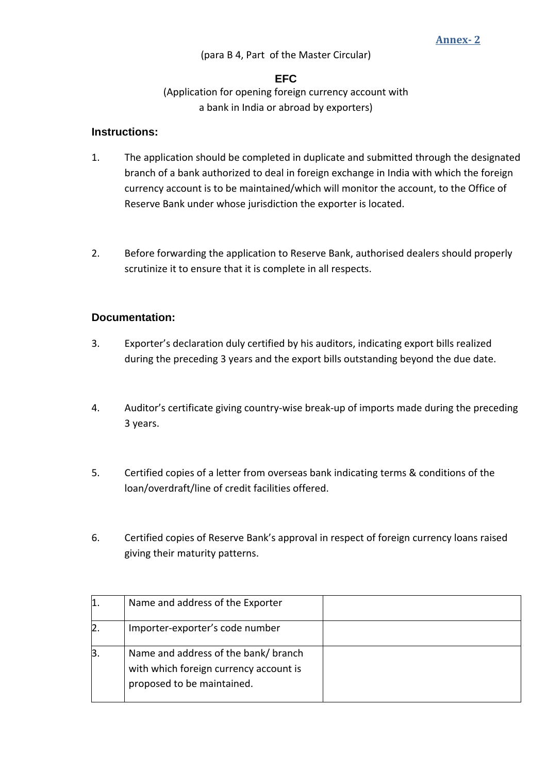## (para B 4, Part of the Master Circular)

## **EFC**

(Application for opening foreign currency account with a bank in India or abroad by exporters)

## **Instructions:**

- 1. The application should be completed in duplicate and submitted through the designated branch of a bank authorized to deal in foreign exchange in India with which the foreign currency account is to be maintained/which will monitor the account, to the Office of Reserve Bank under whose jurisdiction the exporter is located.
- 2. Before forwarding the application to Reserve Bank, authorised dealers should properly scrutinize it to ensure that it is complete in all respects.

## **Documentation:**

- 3. Exporter's declaration duly certified by his auditors, indicating export bills realized during the preceding 3 years and the export bills outstanding beyond the due date.
- 4. Auditor's certificate giving country-wise break-up of imports made during the preceding 3 years.
- 5. Certified copies of a letter from overseas bank indicating terms & conditions of the loan/overdraft/line of credit facilities offered.
- 6. Certified copies of Reserve Bank's approval in respect of foreign currency loans raised giving their maturity patterns.

| Name and address of the Exporter                                                                            |  |
|-------------------------------------------------------------------------------------------------------------|--|
| Importer-exporter's code number                                                                             |  |
| Name and address of the bank/branch<br>with which foreign currency account is<br>proposed to be maintained. |  |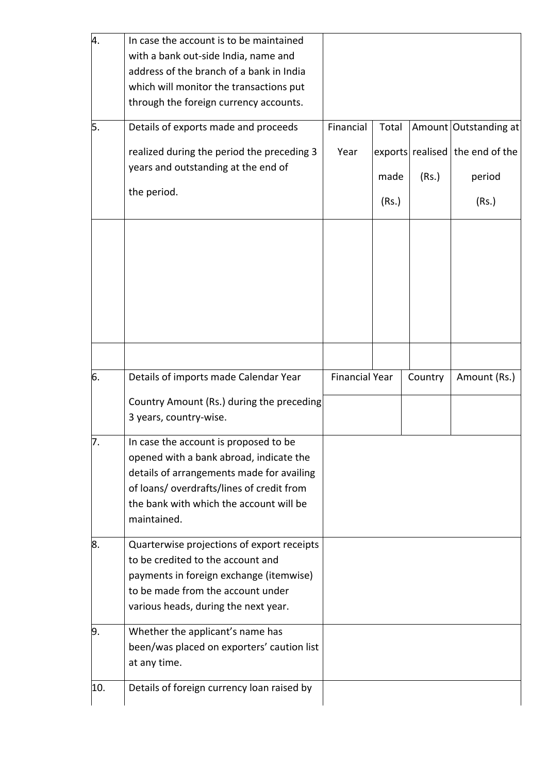| 4.  | In case the account is to be maintained    |                       |       |         |                                   |
|-----|--------------------------------------------|-----------------------|-------|---------|-----------------------------------|
|     | with a bank out-side India, name and       |                       |       |         |                                   |
|     | address of the branch of a bank in India   |                       |       |         |                                   |
|     | which will monitor the transactions put    |                       |       |         |                                   |
|     | through the foreign currency accounts.     |                       |       |         |                                   |
| 5.  | Details of exports made and proceeds       | Financial             | Total |         | Amount Outstanding at             |
|     | realized during the period the preceding 3 | Year                  |       |         | exports realised   the end of the |
|     | years and outstanding at the end of        |                       |       |         |                                   |
|     |                                            |                       | made  | (Rs.)   | period                            |
|     | the period.                                |                       | (Rs.) |         | (Rs.)                             |
|     |                                            |                       |       |         |                                   |
|     |                                            |                       |       |         |                                   |
|     |                                            |                       |       |         |                                   |
|     |                                            |                       |       |         |                                   |
|     |                                            |                       |       |         |                                   |
|     |                                            |                       |       |         |                                   |
|     |                                            |                       |       |         |                                   |
|     |                                            |                       |       |         |                                   |
|     |                                            |                       |       |         |                                   |
| 6.  | Details of imports made Calendar Year      | <b>Financial Year</b> |       | Country | Amount (Rs.)                      |
|     | Country Amount (Rs.) during the preceding  |                       |       |         |                                   |
|     | 3 years, country-wise.                     |                       |       |         |                                   |
| 7.  | In case the account is proposed to be      |                       |       |         |                                   |
|     | opened with a bank abroad, indicate the    |                       |       |         |                                   |
|     | details of arrangements made for availing  |                       |       |         |                                   |
|     | of loans/ overdrafts/lines of credit from  |                       |       |         |                                   |
|     | the bank with which the account will be    |                       |       |         |                                   |
|     | maintained.                                |                       |       |         |                                   |
| 8.  | Quarterwise projections of export receipts |                       |       |         |                                   |
|     | to be credited to the account and          |                       |       |         |                                   |
|     | payments in foreign exchange (itemwise)    |                       |       |         |                                   |
|     | to be made from the account under          |                       |       |         |                                   |
|     | various heads, during the next year.       |                       |       |         |                                   |
| 9.  | Whether the applicant's name has           |                       |       |         |                                   |
|     | been/was placed on exporters' caution list |                       |       |         |                                   |
|     | at any time.                               |                       |       |         |                                   |
| 10. |                                            |                       |       |         |                                   |
|     | Details of foreign currency loan raised by |                       |       |         |                                   |